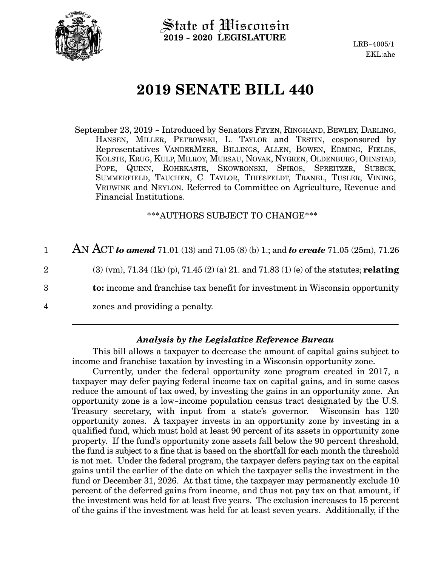

State of Wisconsin **2019 - 2020 LEGISLATURE**

LRB-4005/1 EKL:ahe

# **2019 SENATE BILL 440**

September 23, 2019 - Introduced by Senators FEYEN, RINGHAND, BEWLEY, DARLING, HANSEN, MILLER, PETROWSKI, L. TAYLOR and TESTIN, cosponsored by Representatives VANDERMEER, BILLINGS, ALLEN, BOWEN, EDMING, FIELDS, KOLSTE, KRUG, KULP, MILROY, MURSAU, NOVAK, NYGREN, OLDENBURG, OHNSTAD, POPE, QUINN, ROHRKASTE, SKOWRONSKI, SPIROS, SPREITZER, SUBECK, SUMMERFIELD, TAUCHEN, C. TAYLOR, THIESFELDT, TRANEL, TUSLER, VINING, VRUWINK and NEYLON. Referred to Committee on Agriculture, Revenue and Financial Institutions.

\*\*\*AUTHORS SUBJECT TO CHANGE\*\*\*

AN ACT *to amend* 71.01 (13) and 71.05 (8) (b) 1.; and *to create* 71.05 (25m), 71.26 (3) (vm), 71.34 (1k) (p), 71.45 (2) (a) 21. and 71.83 (1) (e) of the statutes; **relating to:** income and franchise tax benefit for investment in Wisconsin opportunity zones and providing a penalty. 1 2 3 4

#### *Analysis by the Legislative Reference Bureau*

This bill allows a taxpayer to decrease the amount of capital gains subject to income and franchise taxation by investing in a Wisconsin opportunity zone.

Currently, under the federal opportunity zone program created in 2017, a taxpayer may defer paying federal income tax on capital gains, and in some cases reduce the amount of tax owed, by investing the gains in an opportunity zone. An opportunity zone is a low-income population census tract designated by the U.S. Treasury secretary, with input from a state's governor. Wisconsin has 120 opportunity zones. A taxpayer invests in an opportunity zone by investing in a qualified fund, which must hold at least 90 percent of its assets in opportunity zone property. If the fund's opportunity zone assets fall below the 90 percent threshold, the fund is subject to a fine that is based on the shortfall for each month the threshold is not met. Under the federal program, the taxpayer defers paying tax on the capital gains until the earlier of the date on which the taxpayer sells the investment in the fund or December 31, 2026. At that time, the taxpayer may permanently exclude 10 percent of the deferred gains from income, and thus not pay tax on that amount, if the investment was held for at least five years. The exclusion increases to 15 percent of the gains if the investment was held for at least seven years. Additionally, if the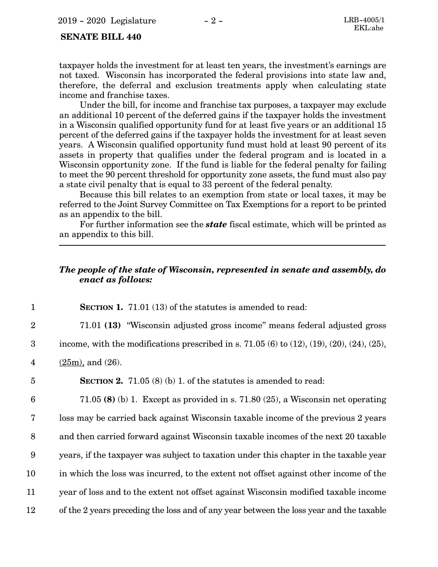#### **SENATE BILL 440**

taxpayer holds the investment for at least ten years, the investment's earnings are not taxed. Wisconsin has incorporated the federal provisions into state law and, therefore, the deferral and exclusion treatments apply when calculating state income and franchise taxes.

Under the bill, for income and franchise tax purposes, a taxpayer may exclude an additional 10 percent of the deferred gains if the taxpayer holds the investment in a Wisconsin qualified opportunity fund for at least five years or an additional 15 percent of the deferred gains if the taxpayer holds the investment for at least seven years. A Wisconsin qualified opportunity fund must hold at least 90 percent of its assets in property that qualifies under the federal program and is located in a Wisconsin opportunity zone. If the fund is liable for the federal penalty for failing to meet the 90 percent threshold for opportunity zone assets, the fund must also pay a state civil penalty that is equal to 33 percent of the federal penalty.

Because this bill relates to an exemption from state or local taxes, it may be referred to the Joint Survey Committee on Tax Exemptions for a report to be printed as an appendix to the bill.

For further information see the *state* fiscal estimate, which will be printed as an appendix to this bill.

#### *The people of the state of Wisconsin, represented in senate and assembly, do enact as follows:*

**SECTION 1.** 71.01 (13) of the statutes is amended to read: 71.01 **(13)** "Wisconsin adjusted gross income" means federal adjusted gross income, with the modifications prescribed in s.  $71.05(6)$  to  $(12)$ ,  $(19)$ ,  $(20)$ ,  $(24)$ ,  $(25)$ ,  $(25m)$ , and  $(26)$ . **SECTION 2.** 71.05 (8) (b) 1. of the statutes is amended to read: 71.05 **(8)** (b) 1. Except as provided in s. 71.80 (25), a Wisconsin net operating loss may be carried back against Wisconsin taxable income of the previous 2 years and then carried forward against Wisconsin taxable incomes of the next 20 taxable years, if the taxpayer was subject to taxation under this chapter in the taxable year in which the loss was incurred, to the extent not offset against other income of the year of loss and to the extent not offset against Wisconsin modified taxable income of the 2 years preceding the loss and of any year between the loss year and the taxable 1 2 3 4 5 6 7 8 9 10 11 12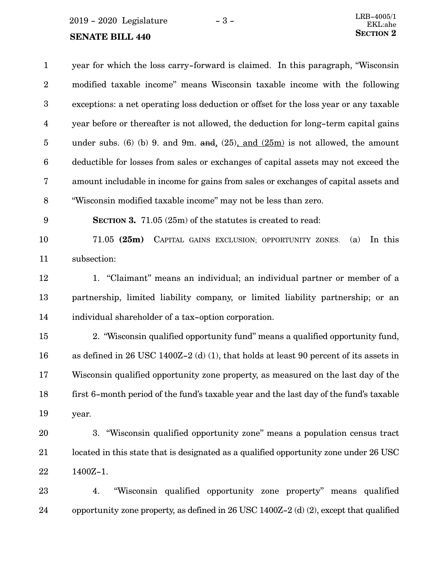$2019 - 2020$  Legislature  $-3 -$ <br>EKI:abe

1400Z-1.

22

| $\mathbf{1}$            | year for which the loss carry-forward is claimed. In this paragraph, "Wisconsin        |
|-------------------------|----------------------------------------------------------------------------------------|
| $\boldsymbol{2}$        | modified taxable income" means Wisconsin taxable income with the following             |
| $\boldsymbol{3}$        | exceptions: a net operating loss deduction or offset for the loss year or any taxable  |
| $\overline{\mathbf{4}}$ | year before or thereafter is not allowed, the deduction for long-term capital gains    |
| $\overline{5}$          | under subs. (6) (b) 9. and 9m. and $(25)$ , and $(25m)$ is not allowed, the amount     |
| $6\phantom{.}6$         | deductible for losses from sales or exchanges of capital assets may not exceed the     |
| 7                       | amount includable in income for gains from sales or exchanges of capital assets and    |
| 8                       | "Wisconsin modified taxable income" may not be less than zero.                         |
| 9                       | <b>SECTION 3.</b> 71.05 (25m) of the statutes is created to read:                      |
| 10                      | $71.05$ (25m)<br>In this<br>CAPITAL GAINS EXCLUSION; OPPORTUNITY ZONES.<br>(a)         |
| 11                      | subsection:                                                                            |
| 12                      | 1. "Claimant" means an individual; an individual partner or member of a                |
| 13                      | partnership, limited liability company, or limited liability partnership; or an        |
| 14                      | individual shareholder of a tax-option corporation.                                    |
| 15                      | 2. "Wisconsin qualified opportunity fund" means a qualified opportunity fund,          |
| 16                      | as defined in 26 USC 1400Z-2 (d) (1), that holds at least 90 percent of its assets in  |
| 17                      | Wisconsin qualified opportunity zone property, as measured on the last day of the      |
| 18                      | first 6-month period of the fund's taxable year and the last day of the fund's taxable |
| 19                      | year.                                                                                  |
| 20                      | 3. "Wisconsin qualified opportunity zone" means a population census tract              |
| 21                      | located in this state that is designated as a qualified opportunity zone under 26 USC  |

4. "Wisconsin qualified opportunity zone property" means qualified opportunity zone property, as defined in 26 USC 1400Z-2 (d) (2), except that qualified 23 24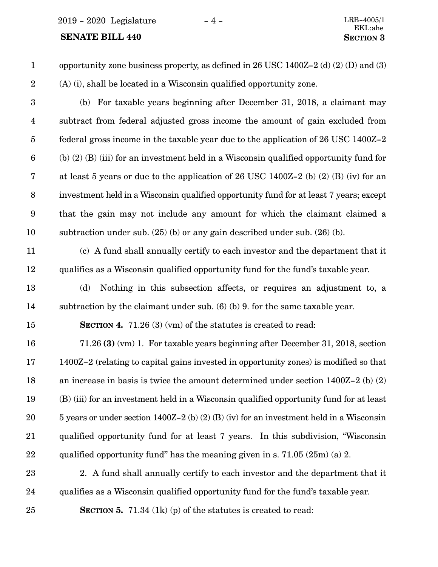2019 - 2020 Legislature - 4 - LRB-4005/1

#### **SENATE BILL 440 SECTION** 3

- opportunity zone business property, as defined in 26 USC 1400Z-2 (d) (2) (D) and (3) (A) (i), shall be located in a Wisconsin qualified opportunity zone. 1 2
- 

(b) For taxable years beginning after December 31, 2018, a claimant may subtract from federal adjusted gross income the amount of gain excluded from federal gross income in the taxable year due to the application of 26 USC 1400Z-2 (b) (2) (B) (iii) for an investment held in a Wisconsin qualified opportunity fund for at least 5 years or due to the application of 26 USC 1400Z-2 (b) (2) (B) (iv) for an investment held in a Wisconsin qualified opportunity fund for at least 7 years; except that the gain may not include any amount for which the claimant claimed a subtraction under sub. (25) (b) or any gain described under sub. (26) (b). 3 4 5 6 7 8 9 10

11

12

(c) A fund shall annually certify to each investor and the department that it qualifies as a Wisconsin qualified opportunity fund for the fund's taxable year.

- (d) Nothing in this subsection affects, or requires an adjustment to, a subtraction by the claimant under sub. (6) (b) 9. for the same taxable year. 13 14
- 15

**SECTION 4.** 71.26 (3) (vm) of the statutes is created to read:

- 71.26 **(3)** (vm) 1. For taxable years beginning after December 31, 2018, section 1400Z-2 (relating to capital gains invested in opportunity zones) is modified so that an increase in basis is twice the amount determined under section 1400Z-2 (b) (2) (B) (iii) for an investment held in a Wisconsin qualified opportunity fund for at least 5 years or under section 1400Z-2 (b) (2) (B) (iv) for an investment held in a Wisconsin qualified opportunity fund for at least 7 years. In this subdivision, "Wisconsin qualified opportunity fund" has the meaning given in s. 71.05 (25m) (a) 2. 16 17 18 19 20 21 22
- 2. A fund shall annually certify to each investor and the department that it qualifies as a Wisconsin qualified opportunity fund for the fund's taxable year. 23 24
- 25

**SECTION 5.** 71.34 (1k) (p) of the statutes is created to read: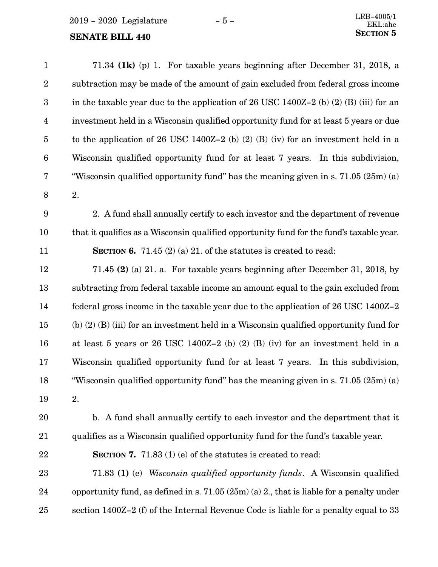| $\mathbf{1}$     | 71.34 (1 $\bf{k}$ ) (p) 1. For taxable years beginning after December 31, 2018, a          |
|------------------|--------------------------------------------------------------------------------------------|
| $\boldsymbol{2}$ | subtraction may be made of the amount of gain excluded from federal gross income           |
| 3                | in the taxable year due to the application of 26 USC 1400Z-2 (b) (2) (B) (iii) for an      |
| $\overline{4}$   | investment held in a Wisconsin qualified opportunity fund for at least 5 years or due      |
| $\overline{5}$   | to the application of 26 USC 1400Z-2 (b) (2) (B) (iv) for an investment held in a          |
| $\boldsymbol{6}$ | Wisconsin qualified opportunity fund for at least 7 years. In this subdivision,            |
| 7                | "Wisconsin qualified opportunity fund" has the meaning given in s. 71.05 (25m) (a)         |
| $\, 8$           | 2.                                                                                         |
| 9                | 2. A fund shall annually certify to each investor and the department of revenue            |
| 10               | that it qualifies as a Wisconsin qualified opportunity fund for the fund's taxable year.   |
| 11               | <b>SECTION 6.</b> 71.45 (2) (a) 21. of the statures is created to read:                    |
| 12               | 71.45 (2) (a) 21. a. For taxable years beginning after December 31, 2018, by               |
| 13               | subtracting from federal taxable income an amount equal to the gain excluded from          |
| 14               | federal gross income in the taxable year due to the application of 26 USC 1400Z-2          |
| 15               | (b) $(2)$ (B) $(iii)$ for an investment held in a Wisconsin qualified opportunity fund for |
| 16               | at least 5 years or 26 USC 1400Z-2 (b) (2) (B) (iv) for an investment held in a            |
| 17               | Wisconsin qualified opportunity fund for at least 7 years. In this subdivision,            |
| 18               | "Wisconsin qualified opportunity fund" has the meaning given in s. $71.05(25m)(a)$         |
| 19               | 2.                                                                                         |
| 20               | b. A fund shall annually certify to each investor and the department that it               |
| 21               | qualifies as a Wisconsin qualified opportunity fund for the fund's taxable year.           |
| 22               | <b>SECTION 7.</b> 71.83 (1) (e) of the statures is created to read:                        |
| 23               | 71.83 (1) (e) Wisconsin qualified opportunity funds. A Wisconsin qualified                 |
| 24               | opportunity fund, as defined in s. $71.05(25m)(a)$ 2, that is liable for a penalty under   |
| 25               | section 1400Z-2 (f) of the Internal Revenue Code is liable for a penalty equal to 33       |